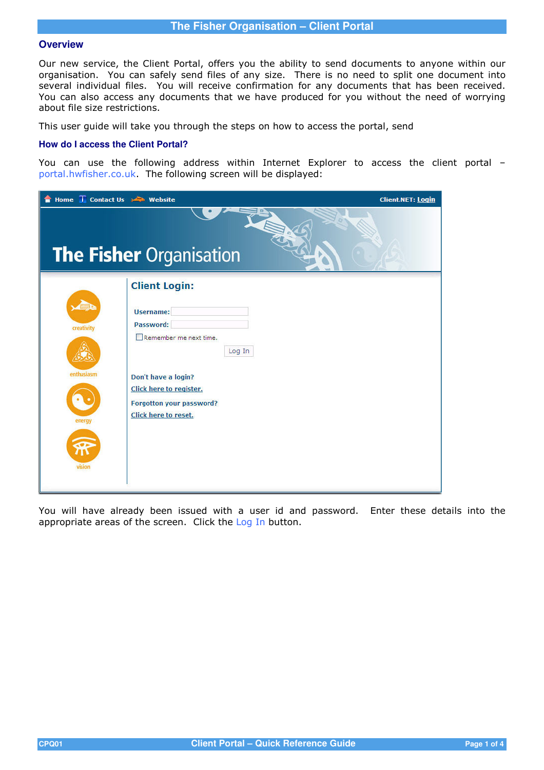# **The Fisher Organisation – Client Portal**

## **Overview**

Our new service, the Client Portal, offers you the ability to send documents to anyone within our organisation. You can safely send files of any size. There is no need to split one document into several individual files. You will receive confirmation for any documents that has been received. You can also access any documents that we have produced for you without the need of worrying about file size restrictions.

This user guide will take you through the steps on how to access the portal, send

#### **How do I access the Client Portal?**

You can use the following address within Internet Explorer to access the client portal – portal.hwfisher.co.uk. The following screen will be displayed:

| Home i Contact Us <a> Website</a>            | <b>Client.NET: Login</b>                                                                                                                                                                        |
|----------------------------------------------|-------------------------------------------------------------------------------------------------------------------------------------------------------------------------------------------------|
|                                              | <b>The Fisher Organisation</b>                                                                                                                                                                  |
| creativity<br>enthusiasm<br>energy<br>vision | <b>Client Login:</b><br>Username:<br>Password:<br>Remember me next time.<br>Log In<br>Don't have a login?<br>Click here to register.<br>Forgotton your password?<br><b>Click here to reset.</b> |

You will have already been issued with a user id and password. Enter these details into the appropriate areas of the screen. Click the Log In button.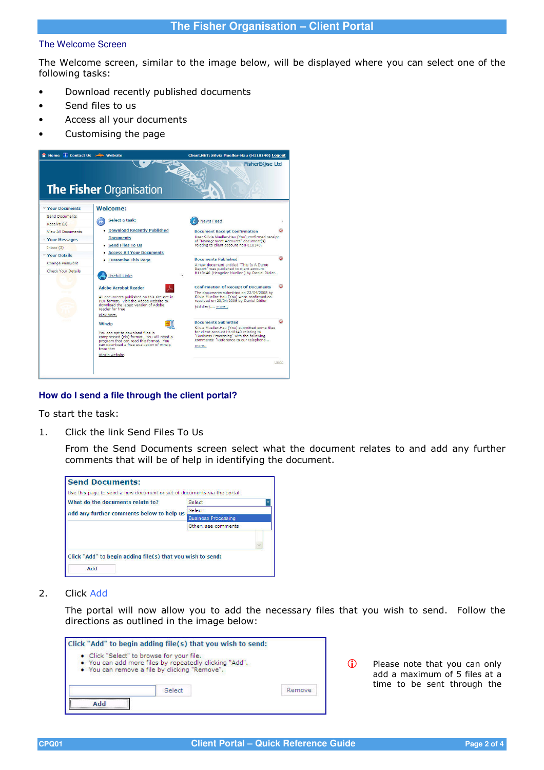### The Welcome Screen

The Welcome screen, similar to the image below, will be displayed where you can select one of the following tasks:

- Download recently published documents
- Send files to us
- Access all your documents
- Customising the page



## **How do I send a file through the client portal?**

To start the task:

1. Click the link Send Files To Us

From the Send Documents screen select what the document relates to and add any further comments that will be of help in identifying the document.

| Use this page to send a new document or set of documents via the portal |
|-------------------------------------------------------------------------|
| Select                                                                  |
| Select                                                                  |
| <b>Business Processing</b>                                              |
| Other, see comments                                                     |
|                                                                         |
| Click "Add" to begin adding file(s) that you wish to send:              |
|                                                                         |

2. Click Add

The portal will now allow you to add the necessary files that you wish to send. Follow the directions as outlined in the image below:

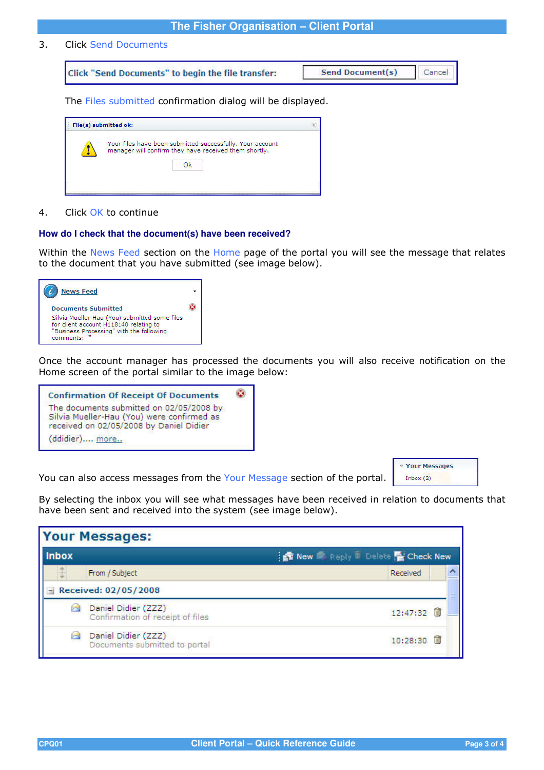## **The Fisher Organisation – Client Portal**

3. Click Send Documents

Click "Send Documents" to begin the file transfer:

```
Send Document(s)
                       Cancel
```
The Files submitted confirmation dialog will be displayed.

| Your files have been submitted successfully. Your account |
|-----------------------------------------------------------|
|                                                           |
|                                                           |
|                                                           |
|                                                           |
|                                                           |

#### 4. Click OK to continue

## **How do I check that the document(s) have been received?**

Within the News Feed section on the Home page of the portal you will see the message that relates to the document that you have submitted (see image below).

| <b>News Feed</b>                                                                                                                                 |  |
|--------------------------------------------------------------------------------------------------------------------------------------------------|--|
| <b>Documents Submitted</b>                                                                                                                       |  |
| Silvia Mueller-Hau (You) submitted some files<br>for client account H118140 relating to<br>"Business Processing" with the following<br>comments: |  |

Once the account manager has processed the documents you will also receive notification on the Home screen of the portal similar to the image below:



You can also access messages from the Your Message section of the portal.



By selecting the inbox you will see what messages have been received in relation to documents that have been sent and received into the system (see image below).

| <b>Your Messages:</b> |                                                         |                                                          |  |  |  |
|-----------------------|---------------------------------------------------------|----------------------------------------------------------|--|--|--|
| <b>Inbox</b>          |                                                         | <b>For New Preply II</b> Delete <b>Replace Check New</b> |  |  |  |
|                       | From / Subject                                          | Received                                                 |  |  |  |
|                       | $-$ Received: 02/05/2008                                |                                                          |  |  |  |
|                       | Daniel Didier (ZZZ)<br>Confirmation of receipt of files | 12:47:32                                                 |  |  |  |
|                       | Daniel Didier (ZZZ)<br>Documents submitted to portal    | 10:28:30                                                 |  |  |  |